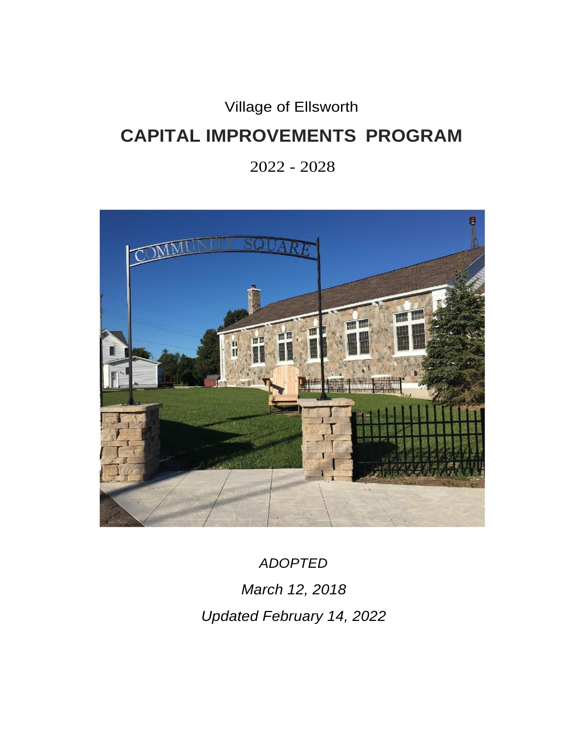Village of Ellsworth

# **CAPITAL IMPROVEMENTS PROGRAM**

2022 - 2028



*ADOPTED March 12, 2018 Updated February 14, 2022*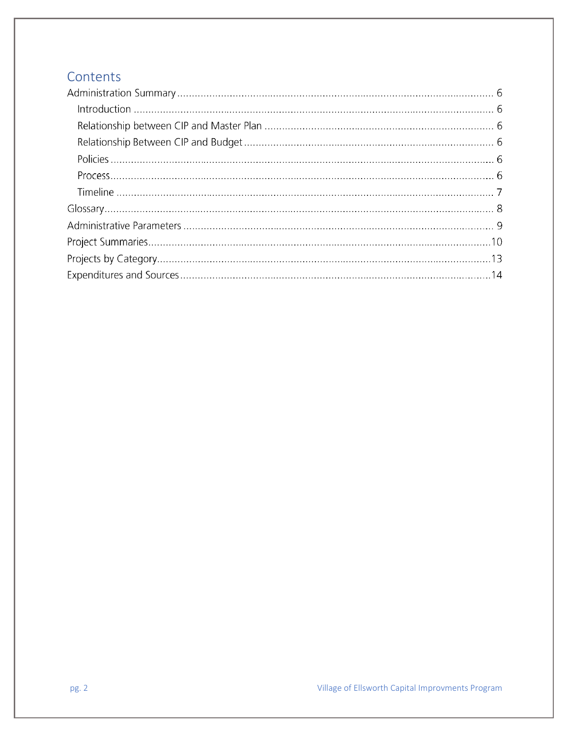## **Contents**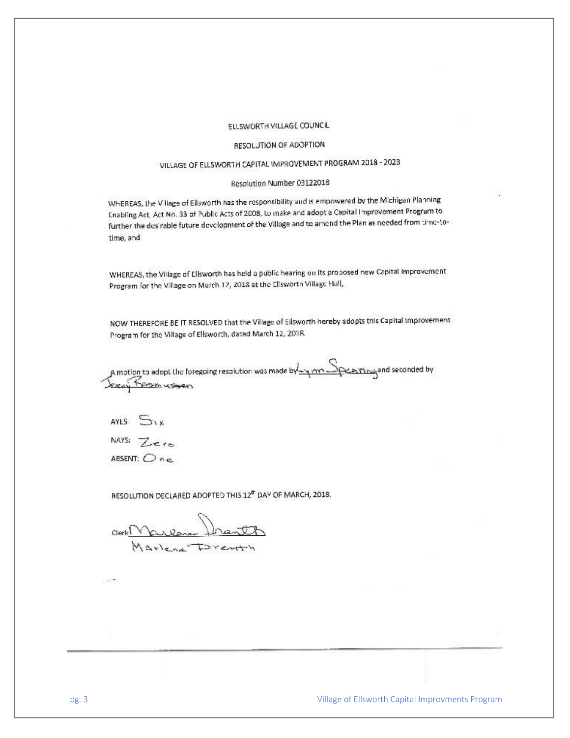#### ELLSWORTH VILLAGE COUNCIL

#### RESOLUTION OF ADOPTION

### VILLAGE OF ELLSWORTH CAPITAL IMPROVEMENT PROGRAM 2018 - 2023

#### Resolution Number 03122018

WHEREAS, the Village of Ellsworth has the responsibility and is empowered by the Michigan Planning Enabling Act, Act No. 33 of Public Acts of 2008, to make and adopt a Capital Improvement Program to further the desirable future devolopment of the Village and to amond the Plan as noeded from time-totime, and

WHEREAS, the Village of Ellsworth has held a public hearing on its proposed new Capital Improvement Program for the Village on March 12, 2018 at the Ellsworth Village Hall,

NOW THEREFORE BE IT RESOLVED that the Village of Ellsworth hereby adopts this Capital Improvement Program for the Village of Ellsworth, dated March 12, 2018.

A motion to adopt the foregoing resolution was made by  $\frac{S_{\text{maxmax}}}{S_{\text{max}}}$  and seconded by Jerry Form ussen

AYES:  $S_{18}$ 

NAYS:  $Z$ 

ABSENT:  $One$ 

RESOLUTION DECLARED ADOPTED THIS 12<sup>th</sup> DAY OF MARCH, 2018.

 $ClerkN$ culence  $\ln$ Marlena Drent

Village of Ellsworth Capital Improvments Program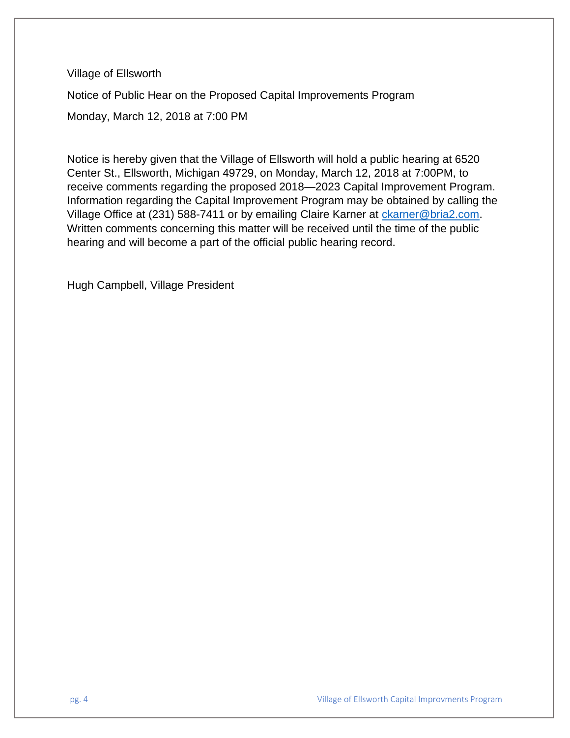Village of Ellsworth

Notice of Public Hear on the Proposed Capital Improvements Program

Monday, March 12, 2018 at 7:00 PM

Notice is hereby given that the Village of Ellsworth will hold a public hearing at 6520 Center St., Ellsworth, Michigan 49729, on Monday, March 12, 2018 at 7:00PM, to receive comments regarding the proposed 2018—2023 Capital Improvement Program. Information regarding the Capital Improvement Program may be obtained by calling the Village Office at (231) 588-7411 or by emailing Claire Karner at [ckarner@bria2.com.](mailto:ckarner@bria2.com) Written comments concerning this matter will be received until the time of the public hearing and will become a part of the official public hearing record.

Hugh Campbell, Village President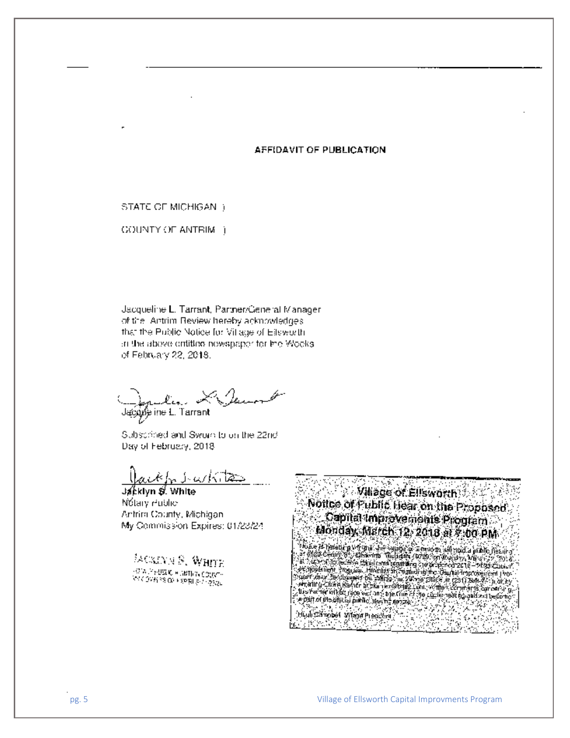#### AFFIDAVIT OF PUBLICATION

STATE OF MICHIGAN 1

**GOUNTY OF ANTRIM** 1

Jacqueline L. Tarrant, Partner/General Manager. of the "Antrim Review hereby acknowledges" that the Public Notice for Village of Ellsworth. in the above ontitled newspaper for the Wooks. of February 22, 2018.

Jacque ine L. Tarrant

Subscrimed and Sworn to on the 22nd Day of February, 2018

ackh in activities

Jakkiyn ≸. Whitel Nótary Public Antrim County, Michigan. My Commission Expires: 01/23/24

**MORANTS, WHITE** -018 РАФЕК «БИТИК СОДУ»  $\mathcal{O}(\sqrt{2\pi\hbar^2\delta^2\Omega^2}+\chi\text{D}\text{R})\geq \sqrt{2\delta/2\pi}$ 

**Willage of Ellsworth 2007** Notice of Fubile Hear on the Proposed Capital Improvements Program Monday March 12, 2018 at 5-00 PM  $c_{\gamma\chi_j}$ ۰. . Hubständet vilageplegene ( <u>ma</u> kata 22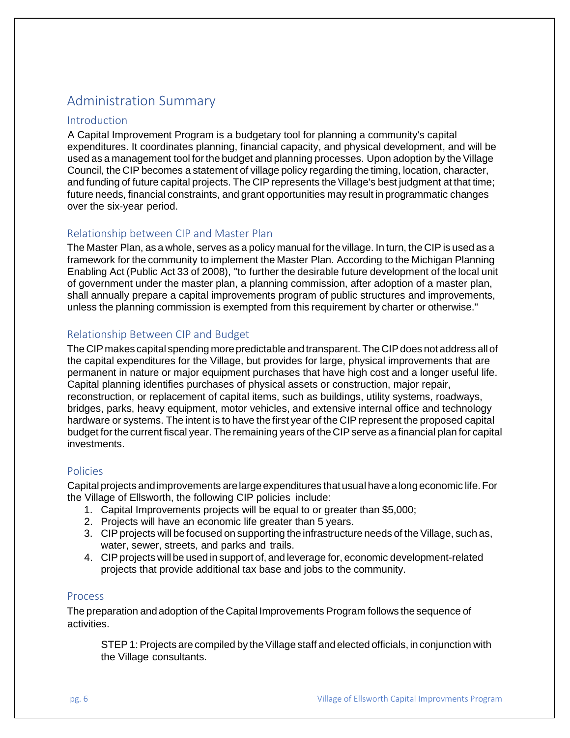# Administration Summary

#### **Introduction**

A Capital Improvement Program is a budgetary tool for planning a community's capital expenditures. It coordinates planning, financial capacity, and physical development, and will be used as a management tool for the budget and planning processes. Upon adoption by the Village Council, the CIP becomes a statement of village policy regarding the timing, location, character, and funding of future capital projects. The CIP represents the Village's best judgment at that time; future needs, financial constraints, and grant opportunities may result in programmatic changes over the six-year period.

### Relationship between CIP and Master Plan

The Master Plan, as a whole, serves as a policy manual for the village. In turn, the CIP is used as a framework for the community to implement the Master Plan. According to the Michigan Planning Enabling Act (Public Act 33 of 2008), "to further the desirable future development of the local unit of government under the master plan, a planning commission, after adoption of a master plan, shall annually prepare a capital improvements program of public structures and improvements, unless the planning commission is exempted from this requirement by charter or otherwise."

### Relationship Between CIP and Budget

The CIP makes capital spending more predictable and transparent. The CIP does not address all of the capital expenditures for the Village, but provides for large, physical improvements that are permanent in nature or major equipment purchases that have high cost and a longer useful life. Capital planning identifies purchases of physical assets or construction, major repair, reconstruction, or replacement of capital items, such as buildings, utility systems, roadways, bridges, parks, heavy equipment, motor vehicles, and extensive internal office and technology hardware or systems. The intent is to have the first year of the CIP represent the proposed capital budget forthe current fiscal year. The remaining years of the CIPserve as a financial plan for capital investments.

#### Policies

Capital projects andimprovements arelargeexpenditures thatusual have alongeconomic life.For the Village of Ellsworth, the following CIP policies include:

- 1. Capital Improvements projects will be equal to or greater than \$5,000;
- 2. Projects will have an economic life greater than 5 years.
- 3. CIP projects will be focused on supporting the infrastructure needs of the Village, such as, water, sewer, streets, and parks and trails.
- 4. CIPprojects will be used in support of, and leverage for, economic development-related projects that provide additional tax base and jobs to the community.

#### Process

The preparation andadoption of the Capital Improvements Program follows the sequence of activities.

STEP 1: Projects are compiled by the Village staff and elected officials, in conjunction with the Village consultants.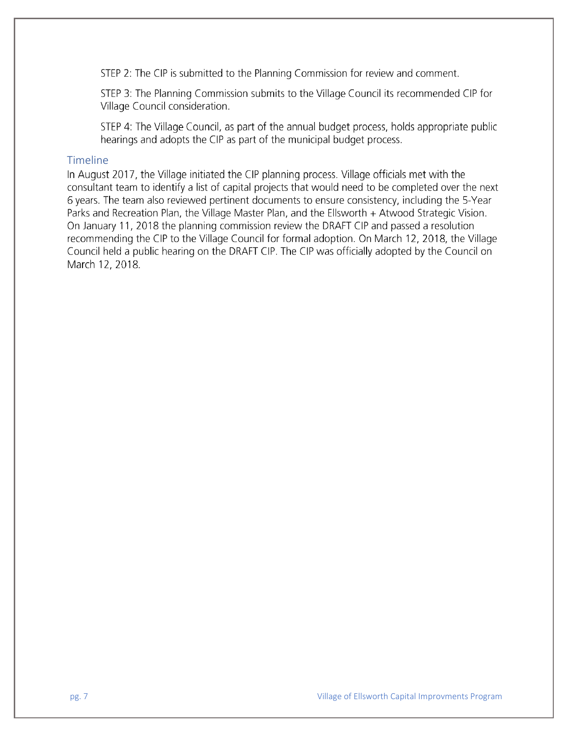STEP 2: The CIP is submitted to the Planning Commission for review and comment.

STEP 3: The Planning Commission submits to the Village Council its recommended CIP for Village Council consideration.

STEP 4: The Village Council, as part of the annual budget process, holds appropriate public hearings and adopts the CIP as part of the municipal budget process.

#### Timeline

In August 2017, the Village initiated the CIP planning process. Village officials met with the consultant team to identify a list of capital projects that would need to be completed over the next 6 years. The team also reviewed pertinent documents to ensure consistency, including the 5-Year Parks and Recreation Plan, the Village Master Plan, and the Ellsworth + Atwood Strategic Vision. On January 11, 2018 the planning commission review the DRAFT CIP and passed a resolution recommending the CIP to the Village Council for formal adoption. On March 12, 2018, the Village Council held a public hearing on the DRAFT CIP. The CIP was officially adopted by the Council on March 12, 2018.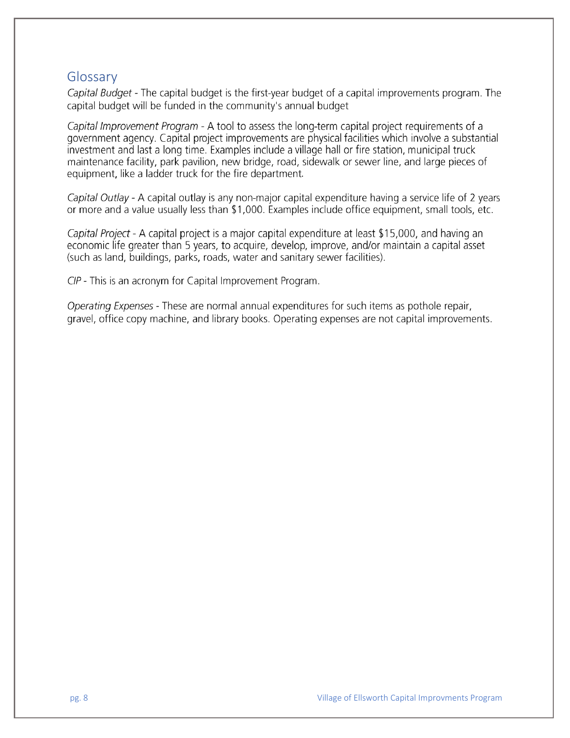## Glossary

Capital Budget - The capital budget is the first-year budget of a capital improvements program. The capital budget will be funded in the community's annual budget

Capital Improvement Program - A tool to assess the long-term capital project requirements of a government agency. Capital project improvements are physical facilities which involve a substantial investment and last a long time. Examples include a village hall or fire station, municipal truck maintenance facility, park pavilion, new bridge, road, sidewalk or sewer line, and large pieces of equipment, like a ladder truck for the fire department.

Capital Outlay - A capital outlay is any non-major capital expenditure having a service life of 2 years or more and a value usually less than \$1,000. Examples include office equipment, small tools, etc.

Capital Project - A capital project is a major capital expenditure at least \$15,000, and having an economic life greater than 5 years, to acquire, develop, improve, and/or maintain a capital asset (such as land, buildings, parks, roads, water and sanitary sewer facilities).

CIP - This is an acronym for Capital Improvement Program.

Operating Expenses - These are normal annual expenditures for such items as pothole repair, gravel, office copy machine, and library books. Operating expenses are not capital improvements.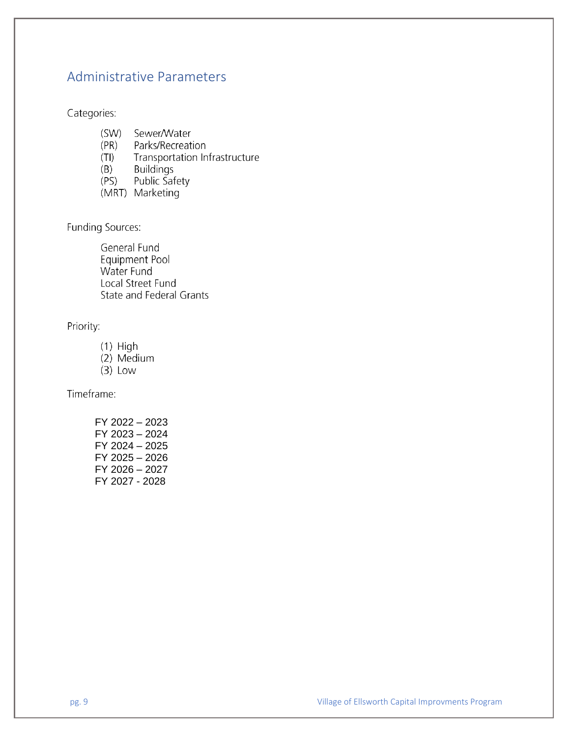## **Administrative Parameters**

Categories:

- $(SW)$ Sewer/Water
- $(PR)$ Parks/Recreation
- Transportation Infrastructure  $(TI)$
- $(B)$ **Buildings**
- Public Safety  $(PS)$
- (MRT) Marketing

Funding Sources:

General Fund Equipment Pool Water Fund Local Street Fund **State and Federal Grants** 

Priority:

- $(1)$  High
- (2) Medium
- $(3)$  Low

Timeframe:

FY 2022 - 2023 FY 2023 - 2024 FY 2024 - 2025 FY 2025 - 2026 FY 2026 - 2027 FY 2027 - 2028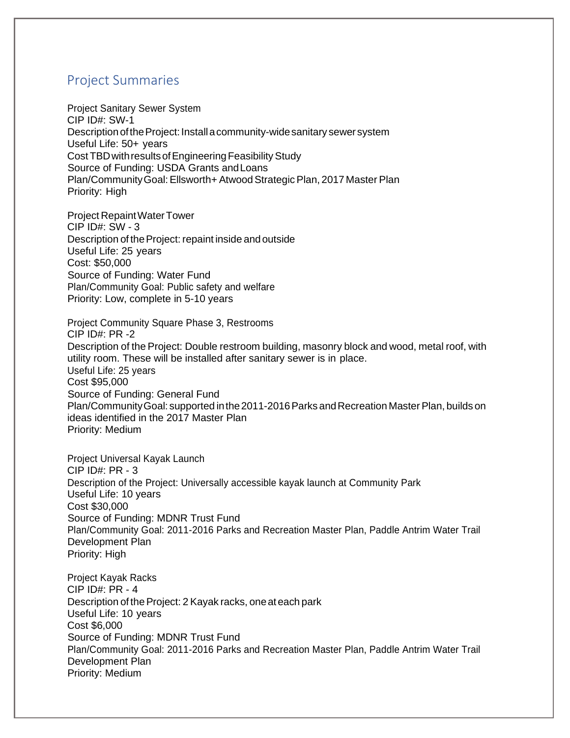## Project Summaries

Project Sanitary Sewer System CIP ID#: SW-1 Description of the Project: Install a community-wide sanitary sewer system Useful Life: 50+ years Cost TBD with results of Engineering Feasibility Study Source of Funding: USDA Grants andLoans Plan/Community Goal: Ellsworth+ Atwood Strategic Plan, 2017 Master Plan Priority: High

Project RepaintWaterTower CIP ID#: SW - 3 Description of theProject: repaint inside andoutside Useful Life: 25 years Cost: \$50,000 Source of Funding: Water Fund Plan/Community Goal: Public safety and welfare Priority: Low, complete in 5-10 years

Project Community Square Phase 3, Restrooms CIP ID#: PR -2 Description of the Project: Double restroom building, masonry block and wood, metal roof, with utility room. These will be installed after sanitary sewer is in place. Useful Life: 25 years Cost \$95,000 Source of Funding: General Fund Plan/Community Goal: supported in the 2011-2016 Parks and Recreation Master Plan, builds on ideas identified in the 2017 Master Plan Priority: Medium

Project Universal Kayak Launch  $CIP$  ID# $\cdot$  PR - 3 Description of the Project: Universally accessible kayak launch at Community Park Useful Life: 10 years Cost \$30,000 Source of Funding: MDNR Trust Fund Plan/Community Goal: 2011-2016 Parks and Recreation Master Plan, Paddle Antrim Water Trail Development Plan Priority: High

Project Kayak Racks CIP ID#: PR - 4 Description of the Project: 2 Kayak racks, one at each park Useful Life: 10 years Cost \$6,000 Source of Funding: MDNR Trust Fund Plan/Community Goal: 2011-2016 Parks and Recreation Master Plan, Paddle Antrim Water Trail Development Plan Priority: Medium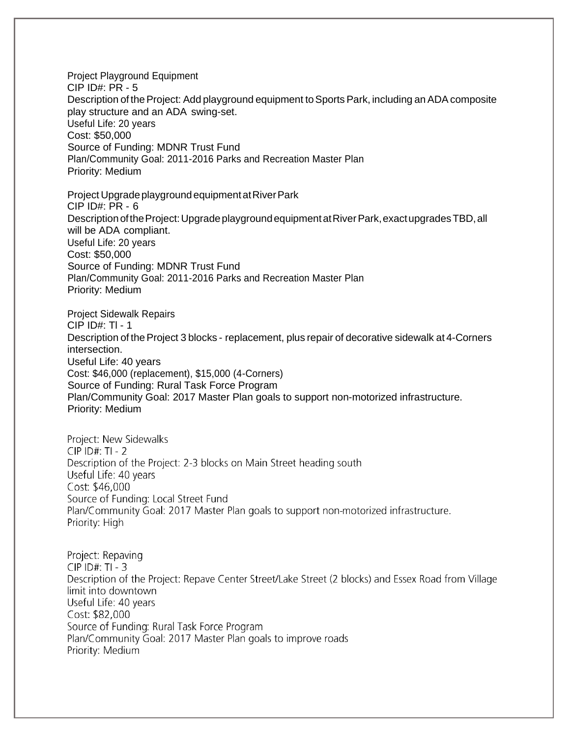Project Playground Equipment CIP ID#: PR - 5 Description of the Project: Add playground equipment to Sports Park, including an ADA composite play structure and an ADA swing-set. Useful Life: 20 years Cost: \$50,000 Source of Funding: MDNR Trust Fund Plan/Community Goal: 2011-2016 Parks and Recreation Master Plan Priority: Medium

Project Upgrade playground equipment at River Park CIP ID#: PR - 6 Description of the Project: Upgrade playground equipment at River Park, exact upgrades TBD, all will be ADA compliant. Useful Life: 20 years Cost: \$50,000 Source of Funding: MDNR Trust Fund Plan/Community Goal: 2011-2016 Parks and Recreation Master Plan Priority: Medium

Project Sidewalk Repairs CIP ID#: Tl - 1 Description of the Project 3 blocks - replacement, plus repair of decorative sidewalk at 4-Corners intersection. Useful Life: 40 years Cost: \$46,000 (replacement), \$15,000 (4-Corners) Source of Funding: Rural Task Force Program Plan/Community Goal: 2017 Master Plan goals to support non-motorized infrastructure. Priority: Medium

Project: New Sidewalks  $CIP$  ID#: TI - 2 Description of the Project: 2-3 blocks on Main Street heading south Useful Life: 40 years Cost: \$46,000 Source of Funding: Local Street Fund Plan/Community Goal: 2017 Master Plan goals to support non-motorized infrastructure. Priority: High

Project: Repaving  $CIP$  ID#: TI - 3 Description of the Project: Repave Center Street/Lake Street (2 blocks) and Essex Road from Village limit into downtown Useful Life: 40 years Cost: \$82,000 Source of Funding: Rural Task Force Program Plan/Community Goal: 2017 Master Plan goals to improve roads Priority: Medium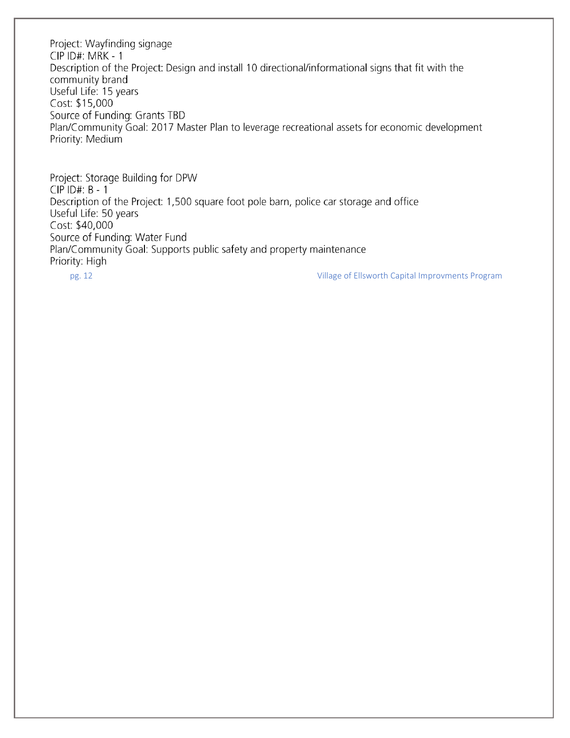Project: Wayfinding signage CIP ID#: MRK - 1 Description of the Project: Design and install 10 directional/informational signs that fit with the community brand Useful Life: 15 years Cost: \$15,000 Source of Funding: Grants TBD Plan/Community Goal: 2017 Master Plan to leverage recreational assets for economic development Priority: Medium

Project: Storage Building for DPW  $CIP$  ID#  $B - 1$ Description of the Project: 1,500 square foot pole barn, police car storage and office Useful Life: 50 years Cost: \$40,000 Source of Funding: Water Fund Plan/Community Goal: Supports public safety and property maintenance Priority: High

pg. 12 Village of Ellsworth Capital Improvments Program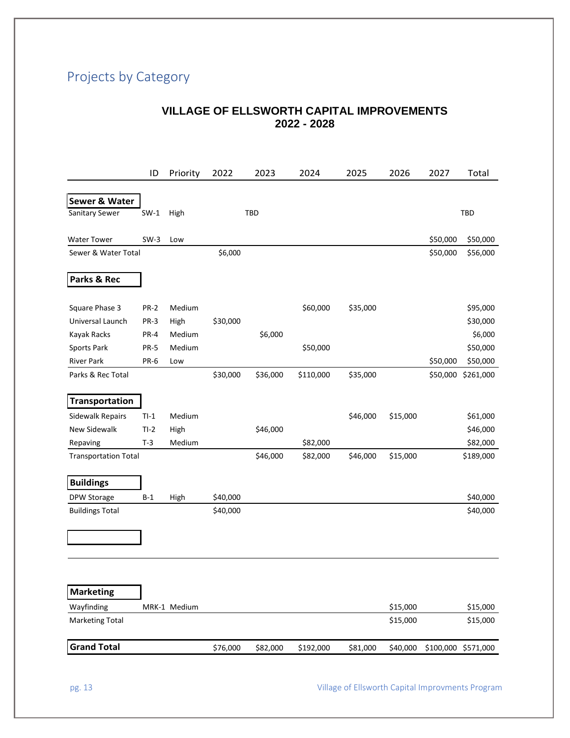# Projects by Category

### **VILLAGE OF ELLSWORTH CAPITAL IMPROVEMENTS 2022 - 2028**

|                             | ID          | Priority     | 2022     | 2023       | 2024      | 2025     | 2026     | 2027     | Total               |
|-----------------------------|-------------|--------------|----------|------------|-----------|----------|----------|----------|---------------------|
|                             |             |              |          |            |           |          |          |          |                     |
| Sewer & Water               |             |              |          |            |           |          |          |          |                     |
| Sanitary Sewer              | $SW-1$      | High         |          | <b>TBD</b> |           |          |          |          | <b>TBD</b>          |
| <b>Water Tower</b>          | $SW-3$      | Low          |          |            |           |          |          | \$50,000 | \$50,000            |
| Sewer & Water Total         |             |              | \$6,000  |            |           |          |          | \$50,000 | \$56,000            |
|                             |             |              |          |            |           |          |          |          |                     |
| Parks & Rec                 |             |              |          |            |           |          |          |          |                     |
| Square Phase 3              | <b>PR-2</b> | Medium       |          |            | \$60,000  | \$35,000 |          |          | \$95,000            |
| Universal Launch            | <b>PR-3</b> | High         | \$30,000 |            |           |          |          |          | \$30,000            |
| Kayak Racks                 | PR-4        | Medium       |          | \$6,000    |           |          |          |          | \$6,000             |
| Sports Park                 | <b>PR-5</b> | Medium       |          |            | \$50,000  |          |          |          | \$50,000            |
| <b>River Park</b>           | PR-6        | Low          |          |            |           |          |          | \$50,000 | \$50,000            |
| Parks & Rec Total           |             |              | \$30,000 | \$36,000   | \$110,000 | \$35,000 |          | \$50,000 | \$261,000           |
| <b>Transportation</b>       |             |              |          |            |           |          |          |          |                     |
| <b>Sidewalk Repairs</b>     | $TI-1$      | Medium       |          |            |           | \$46,000 | \$15,000 |          | \$61,000            |
| <b>New Sidewalk</b>         | $TI-2$      | High         |          | \$46,000   |           |          |          |          | \$46,000            |
| Repaving                    | $T-3$       | Medium       |          |            | \$82,000  |          |          |          | \$82,000            |
| <b>Transportation Total</b> |             |              |          | \$46,000   | \$82,000  | \$46,000 | \$15,000 |          | \$189,000           |
|                             |             |              |          |            |           |          |          |          |                     |
| <b>Buildings</b>            |             |              |          |            |           |          |          |          |                     |
| DPW Storage                 | $B-1$       | High         | \$40,000 |            |           |          |          |          | \$40,000            |
| <b>Buildings Total</b>      |             |              | \$40,000 |            |           |          |          |          | \$40,000            |
|                             |             |              |          |            |           |          |          |          |                     |
|                             |             |              |          |            |           |          |          |          |                     |
|                             |             |              |          |            |           |          |          |          |                     |
|                             |             |              |          |            |           |          |          |          |                     |
| <b>Marketing</b>            |             |              |          |            |           |          |          |          |                     |
| Wayfinding                  |             | MRK-1 Medium |          |            |           |          | \$15,000 |          | \$15,000            |
| <b>Marketing Total</b>      |             |              |          |            |           |          | \$15,000 |          | \$15,000            |
| <b>Grand Total</b>          |             |              | \$76,000 | \$82,000   | \$192,000 | \$81,000 | \$40,000 |          | \$100,000 \$571,000 |